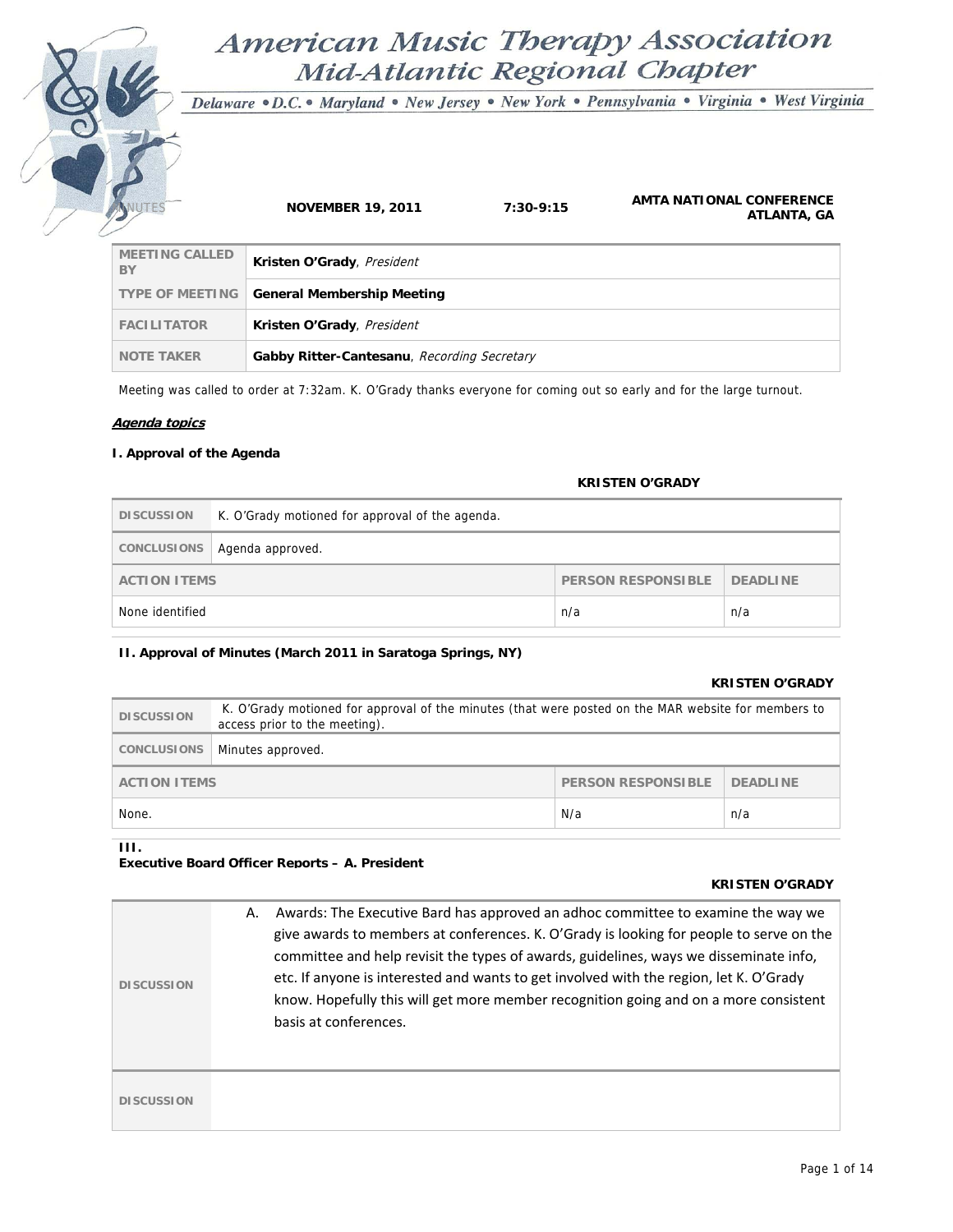# **American Music Therapy Association** Mid-Atlantic Regional Chapter

Delaware · D.C. • Maryland · New Jersey · New York · Pennsylvania · Virginia · West Virginia

| $\sqrt{2}$                  | <b>NOVEMBER 19, 2011</b>                    | $7:30-9:15$ | AMTA NATIONAL CONFERENCE<br>ATLANTA, GA |
|-----------------------------|---------------------------------------------|-------------|-----------------------------------------|
| <b>MEETING CALLED</b><br>BY | Kristen O'Grady, President                  |             |                                         |
| <b>TYPE OF MEETING</b>      | <b>General Membership Meeting</b>           |             |                                         |
| <b>FACILITATOR</b>          | Kristen O'Grady, President                  |             |                                         |
| <b>NOTE TAKER</b>           | Gabby Ritter-Cantesanu, Recording Secretary |             |                                         |

Meeting was called to order at 7:32am. K. O'Grady thanks everyone for coming out so early and for the large turnout.

#### **Agenda topics**

### **I. Approval of the Agenda**

#### **KRISTEN O'GRADY**

| <b>DISCUSSION</b>                                            | K. O'Grady motioned for approval of the agenda. |  |  |
|--------------------------------------------------------------|-------------------------------------------------|--|--|
|                                                              | CONCLUSIONS   Agenda approved.                  |  |  |
| <b>PERSON RESPONSIBLE</b><br>DEADLINE<br><b>ACTION ITEMS</b> |                                                 |  |  |
| None identified                                              | n/a<br>n/a                                      |  |  |

#### **II. Approval of Minutes (March 2011 in Saratoga Springs, NY)**

#### **KRISTEN O'GRADY**

| <b>DISCUSSION</b>                                                   | K. O'Grady motioned for approval of the minutes (that were posted on the MAR website for members to<br>access prior to the meeting). |  |  |
|---------------------------------------------------------------------|--------------------------------------------------------------------------------------------------------------------------------------|--|--|
| CONCLUSIONS                                                         | Minutes approved.                                                                                                                    |  |  |
| <b>PERSON RESPONSIBLE</b><br><b>DEADLINE</b><br><b>ACTION ITEMS</b> |                                                                                                                                      |  |  |
| N/a<br>None.<br>n/a                                                 |                                                                                                                                      |  |  |

#### **III.**

## **Executive Board Officer Reports – A. President**

#### **KRISTEN O'GRADY**

| <b>DISCUSSION</b> | Awards: The Executive Bard has approved an adhoc committee to examine the way we<br>А.<br>give awards to members at conferences. K. O'Grady is looking for people to serve on the<br>committee and help revisit the types of awards, guidelines, ways we disseminate info,<br>etc. If anyone is interested and wants to get involved with the region, let K. O'Grady<br>know. Hopefully this will get more member recognition going and on a more consistent<br>basis at conferences. |
|-------------------|---------------------------------------------------------------------------------------------------------------------------------------------------------------------------------------------------------------------------------------------------------------------------------------------------------------------------------------------------------------------------------------------------------------------------------------------------------------------------------------|
| <b>DISCUSSION</b> |                                                                                                                                                                                                                                                                                                                                                                                                                                                                                       |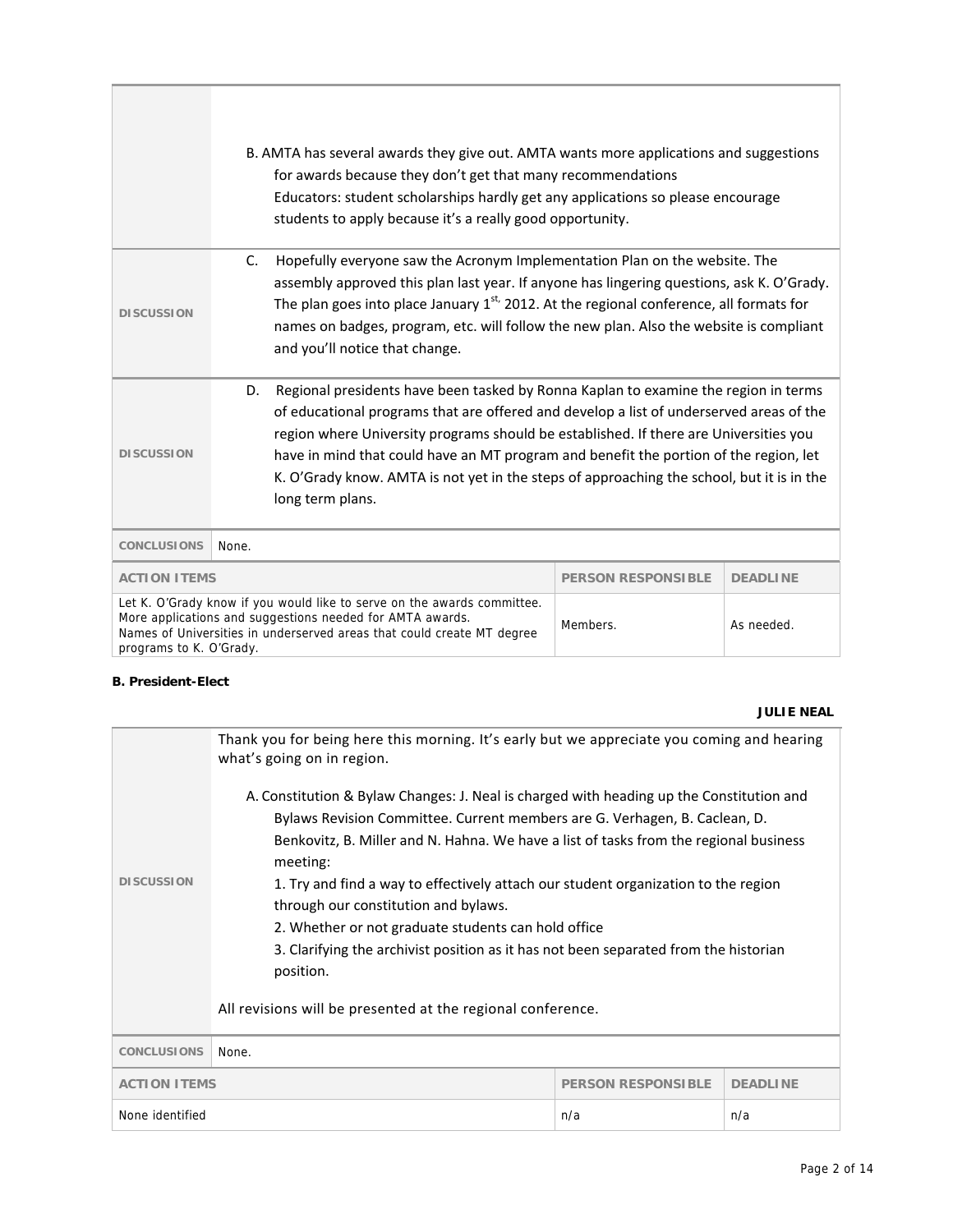|                                                                                                                                                                                                                                                                     | B. AMTA has several awards they give out. AMTA wants more applications and suggestions<br>for awards because they don't get that many recommendations<br>Educators: student scholarships hardly get any applications so please encourage<br>students to apply because it's a really good opportunity.                                                                                                                                                                                   |                           |                 |
|---------------------------------------------------------------------------------------------------------------------------------------------------------------------------------------------------------------------------------------------------------------------|-----------------------------------------------------------------------------------------------------------------------------------------------------------------------------------------------------------------------------------------------------------------------------------------------------------------------------------------------------------------------------------------------------------------------------------------------------------------------------------------|---------------------------|-----------------|
| <b>DISCUSSION</b>                                                                                                                                                                                                                                                   | Hopefully everyone saw the Acronym Implementation Plan on the website. The<br>C.<br>assembly approved this plan last year. If anyone has lingering questions, ask K. O'Grady.<br>The plan goes into place January $1^{st}$ , 2012. At the regional conference, all formats for<br>names on badges, program, etc. will follow the new plan. Also the website is compliant<br>and you'll notice that change.                                                                              |                           |                 |
| <b>DISCUSSION</b>                                                                                                                                                                                                                                                   | Regional presidents have been tasked by Ronna Kaplan to examine the region in terms<br>D.<br>of educational programs that are offered and develop a list of underserved areas of the<br>region where University programs should be established. If there are Universities you<br>have in mind that could have an MT program and benefit the portion of the region, let<br>K. O'Grady know. AMTA is not yet in the steps of approaching the school, but it is in the<br>long term plans. |                           |                 |
| <b>CONCLUSIONS</b>                                                                                                                                                                                                                                                  | None.                                                                                                                                                                                                                                                                                                                                                                                                                                                                                   |                           |                 |
| <b>ACTION ITEMS</b>                                                                                                                                                                                                                                                 |                                                                                                                                                                                                                                                                                                                                                                                                                                                                                         | <b>PERSON RESPONSIBLE</b> | <b>DEADLINE</b> |
| Let K. O'Grady know if you would like to serve on the awards committee.<br>More applications and suggestions needed for AMTA awards.<br>Members.<br>As needed.<br>Names of Universities in underserved areas that could create MT degree<br>programs to K. O'Grady. |                                                                                                                                                                                                                                                                                                                                                                                                                                                                                         |                           |                 |

# **B. President-Elect**

# **JULIE NEAL**

|                                                                                                                                                                                                                                                                             | Thank you for being here this morning. It's early but we appreciate you coming and hearing<br>what's going on in region. |                           |                 |
|-----------------------------------------------------------------------------------------------------------------------------------------------------------------------------------------------------------------------------------------------------------------------------|--------------------------------------------------------------------------------------------------------------------------|---------------------------|-----------------|
| A. Constitution & Bylaw Changes: J. Neal is charged with heading up the Constitution and<br>Bylaws Revision Committee. Current members are G. Verhagen, B. Caclean, D.<br>Benkovitz, B. Miller and N. Hahna. We have a list of tasks from the regional business<br>meeting: |                                                                                                                          |                           |                 |
| <b>DISCUSSION</b>                                                                                                                                                                                                                                                           | 1. Try and find a way to effectively attach our student organization to the region                                       |                           |                 |
| through our constitution and bylaws.                                                                                                                                                                                                                                        |                                                                                                                          |                           |                 |
|                                                                                                                                                                                                                                                                             | 2. Whether or not graduate students can hold office                                                                      |                           |                 |
|                                                                                                                                                                                                                                                                             | 3. Clarifying the archivist position as it has not been separated from the historian<br>position.                        |                           |                 |
|                                                                                                                                                                                                                                                                             |                                                                                                                          |                           |                 |
|                                                                                                                                                                                                                                                                             | All revisions will be presented at the regional conference.                                                              |                           |                 |
| <b>CONCLUSIONS</b>                                                                                                                                                                                                                                                          | None.                                                                                                                    |                           |                 |
| <b>ACTION ITEMS</b>                                                                                                                                                                                                                                                         |                                                                                                                          | <b>PERSON RESPONSIBLE</b> | <b>DEADLINE</b> |
| None identified                                                                                                                                                                                                                                                             | n/a<br>n/a                                                                                                               |                           |                 |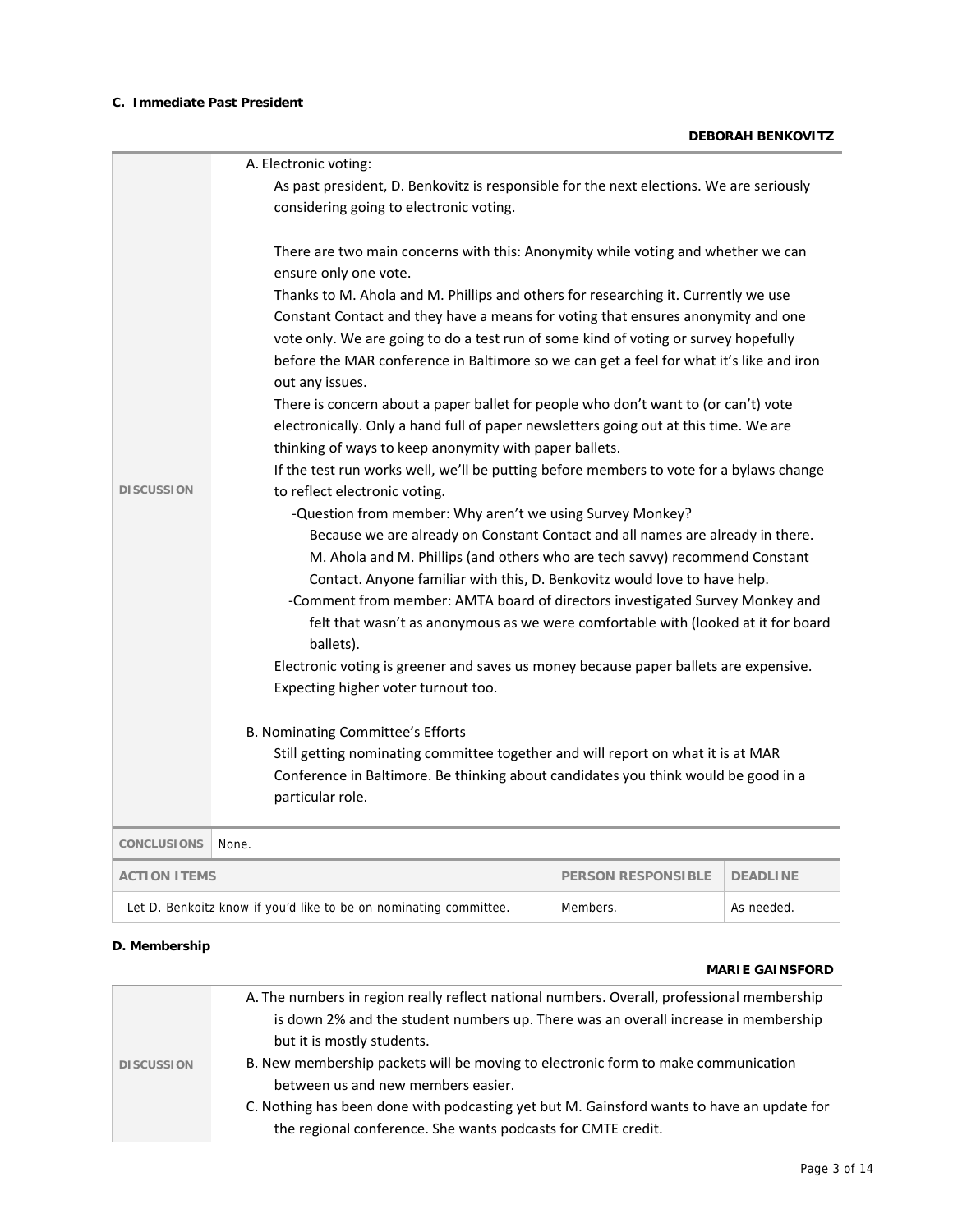# **C. Immediate Past President**

|                     | A. Electronic voting:                                                                                                                                                                                                                                                                                                                                                                                                                                                                                                                                                                                                                                                                                                                                                                                                                                                                                                                                                                                                                                                                                                                                                                                                                                                                                                                                                                                                                                                                                                                                                                                                                                                                                                                                                         |                           |                 |  |
|---------------------|-------------------------------------------------------------------------------------------------------------------------------------------------------------------------------------------------------------------------------------------------------------------------------------------------------------------------------------------------------------------------------------------------------------------------------------------------------------------------------------------------------------------------------------------------------------------------------------------------------------------------------------------------------------------------------------------------------------------------------------------------------------------------------------------------------------------------------------------------------------------------------------------------------------------------------------------------------------------------------------------------------------------------------------------------------------------------------------------------------------------------------------------------------------------------------------------------------------------------------------------------------------------------------------------------------------------------------------------------------------------------------------------------------------------------------------------------------------------------------------------------------------------------------------------------------------------------------------------------------------------------------------------------------------------------------------------------------------------------------------------------------------------------------|---------------------------|-----------------|--|
|                     | As past president, D. Benkovitz is responsible for the next elections. We are seriously                                                                                                                                                                                                                                                                                                                                                                                                                                                                                                                                                                                                                                                                                                                                                                                                                                                                                                                                                                                                                                                                                                                                                                                                                                                                                                                                                                                                                                                                                                                                                                                                                                                                                       |                           |                 |  |
|                     |                                                                                                                                                                                                                                                                                                                                                                                                                                                                                                                                                                                                                                                                                                                                                                                                                                                                                                                                                                                                                                                                                                                                                                                                                                                                                                                                                                                                                                                                                                                                                                                                                                                                                                                                                                               |                           |                 |  |
| <b>DISCUSSION</b>   | considering going to electronic voting.<br>There are two main concerns with this: Anonymity while voting and whether we can<br>ensure only one vote.<br>Thanks to M. Ahola and M. Phillips and others for researching it. Currently we use<br>Constant Contact and they have a means for voting that ensures anonymity and one<br>vote only. We are going to do a test run of some kind of voting or survey hopefully<br>before the MAR conference in Baltimore so we can get a feel for what it's like and iron<br>out any issues.<br>There is concern about a paper ballet for people who don't want to (or can't) vote<br>electronically. Only a hand full of paper newsletters going out at this time. We are<br>thinking of ways to keep anonymity with paper ballets.<br>If the test run works well, we'll be putting before members to vote for a bylaws change<br>to reflect electronic voting.<br>-Question from member: Why aren't we using Survey Monkey?<br>Because we are already on Constant Contact and all names are already in there.<br>M. Ahola and M. Phillips (and others who are tech savvy) recommend Constant<br>Contact. Anyone familiar with this, D. Benkovitz would love to have help.<br>-Comment from member: AMTA board of directors investigated Survey Monkey and<br>felt that wasn't as anonymous as we were comfortable with (looked at it for board<br>ballets).<br>Electronic voting is greener and saves us money because paper ballets are expensive.<br>Expecting higher voter turnout too.<br><b>B. Nominating Committee's Efforts</b><br>Still getting nominating committee together and will report on what it is at MAR<br>Conference in Baltimore. Be thinking about candidates you think would be good in a<br>particular role. |                           |                 |  |
| <b>CONCLUSIONS</b>  | None.                                                                                                                                                                                                                                                                                                                                                                                                                                                                                                                                                                                                                                                                                                                                                                                                                                                                                                                                                                                                                                                                                                                                                                                                                                                                                                                                                                                                                                                                                                                                                                                                                                                                                                                                                                         |                           |                 |  |
| <b>ACTION ITEMS</b> |                                                                                                                                                                                                                                                                                                                                                                                                                                                                                                                                                                                                                                                                                                                                                                                                                                                                                                                                                                                                                                                                                                                                                                                                                                                                                                                                                                                                                                                                                                                                                                                                                                                                                                                                                                               | <b>PERSON RESPONSIBLE</b> | <b>DEADLINE</b> |  |
|                     | Let D. Benkoitz know if you'd like to be on nominating committee.<br>Members.<br>As needed.                                                                                                                                                                                                                                                                                                                                                                                                                                                                                                                                                                                                                                                                                                                                                                                                                                                                                                                                                                                                                                                                                                                                                                                                                                                                                                                                                                                                                                                                                                                                                                                                                                                                                   |                           |                 |  |

### **D. Membership**

# **MARIE GAINSFORD**

|                   | A. The numbers in region really reflect national numbers. Overall, professional membership |
|-------------------|--------------------------------------------------------------------------------------------|
|                   | is down 2% and the student numbers up. There was an overall increase in membership         |
|                   | but it is mostly students.                                                                 |
| <b>DISCUSSION</b> | B. New membership packets will be moving to electronic form to make communication          |
|                   | between us and new members easier.                                                         |
|                   | C. Nothing has been done with podcasting yet but M. Gainsford wants to have an update for  |
|                   | the regional conference. She wants podcasts for CMTE credit.                               |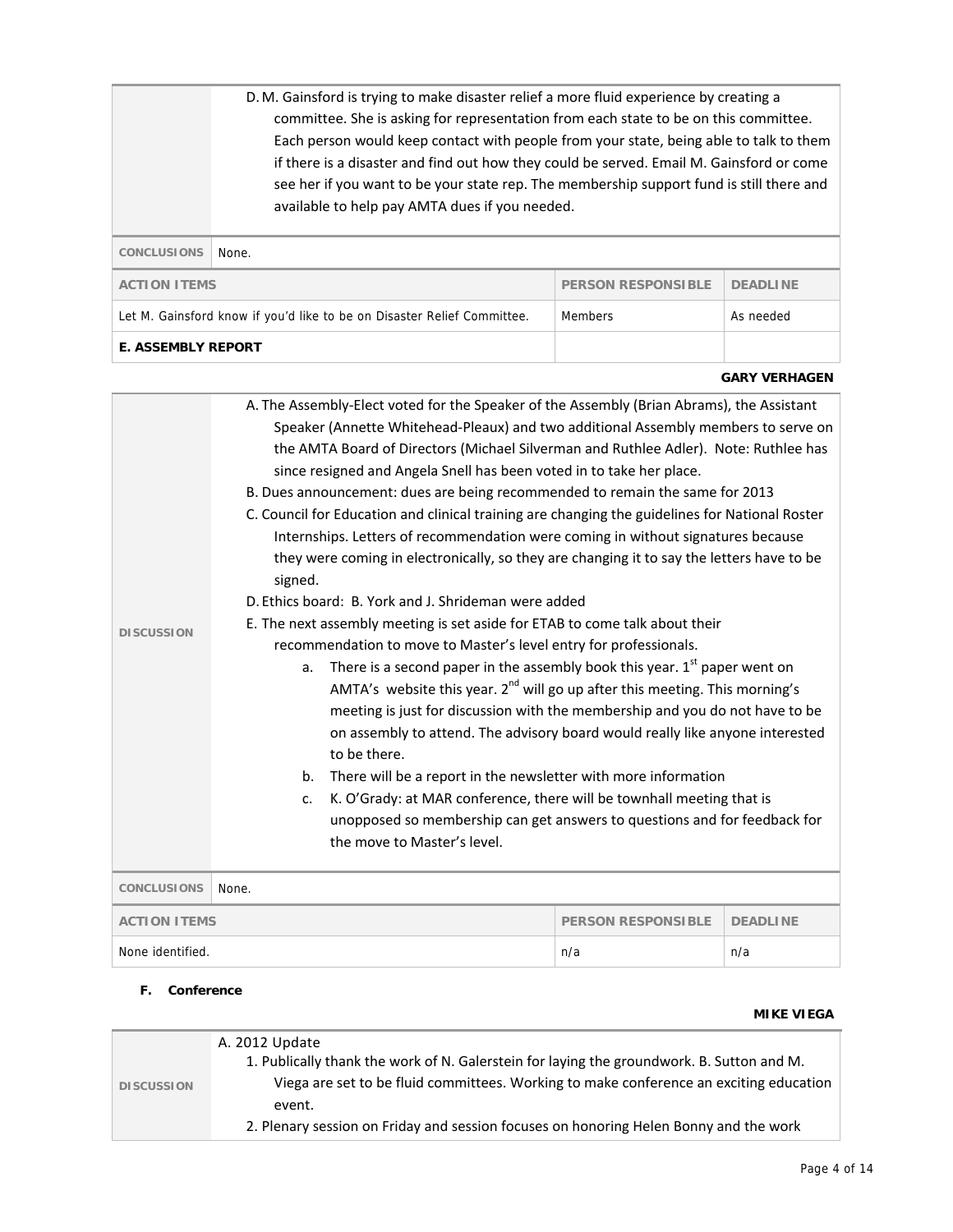|                                                                     | D. M. Gainsford is trying to make disaster relief a more fluid experience by creating a<br>committee. She is asking for representation from each state to be on this committee.<br>Each person would keep contact with people from your state, being able to talk to them<br>if there is a disaster and find out how they could be served. Email M. Gainsford or come<br>see her if you want to be your state rep. The membership support fund is still there and<br>available to help pay AMTA dues if you needed. |  |  |
|---------------------------------------------------------------------|---------------------------------------------------------------------------------------------------------------------------------------------------------------------------------------------------------------------------------------------------------------------------------------------------------------------------------------------------------------------------------------------------------------------------------------------------------------------------------------------------------------------|--|--|
| <b>CONCLUSIONS</b>                                                  | None.                                                                                                                                                                                                                                                                                                                                                                                                                                                                                                               |  |  |
| <b>PERSON RESPONSIBLE</b><br><b>ACTION ITEMS</b><br><b>DEADLINE</b> |                                                                                                                                                                                                                                                                                                                                                                                                                                                                                                                     |  |  |
|                                                                     | Let M. Gainsford know if you'd like to be on Disaster Relief Committee.<br><b>Members</b><br>As needed                                                                                                                                                                                                                                                                                                                                                                                                              |  |  |
| <b>E. ASSEMBLY REPORT</b>                                           |                                                                                                                                                                                                                                                                                                                                                                                                                                                                                                                     |  |  |
| <b>GARY VERHAGEN</b>                                                |                                                                                                                                                                                                                                                                                                                                                                                                                                                                                                                     |  |  |

| <b>DISCUSSION</b>   | A. The Assembly-Elect voted for the Speaker of the Assembly (Brian Abrams), the Assistant<br>Speaker (Annette Whitehead-Pleaux) and two additional Assembly members to serve on<br>the AMTA Board of Directors (Michael Silverman and Ruthlee Adler). Note: Ruthlee has<br>since resigned and Angela Snell has been voted in to take her place.<br>B. Dues announcement: dues are being recommended to remain the same for 2013<br>C. Council for Education and clinical training are changing the guidelines for National Roster<br>Internships. Letters of recommendation were coming in without signatures because<br>they were coming in electronically, so they are changing it to say the letters have to be<br>signed.<br>D. Ethics board: B. York and J. Shrideman were added<br>E. The next assembly meeting is set aside for ETAB to come talk about their<br>recommendation to move to Master's level entry for professionals.<br>There is a second paper in the assembly book this year. $1st$ paper went on<br>a.<br>AMTA's website this year. 2 <sup>nd</sup> will go up after this meeting. This morning's<br>meeting is just for discussion with the membership and you do not have to be<br>on assembly to attend. The advisory board would really like anyone interested<br>to be there.<br>There will be a report in the newsletter with more information<br>b.<br>K. O'Grady: at MAR conference, there will be townhall meeting that is<br>c.<br>unopposed so membership can get answers to questions and for feedback for<br>the move to Master's level. |                           |                 |
|---------------------|-------------------------------------------------------------------------------------------------------------------------------------------------------------------------------------------------------------------------------------------------------------------------------------------------------------------------------------------------------------------------------------------------------------------------------------------------------------------------------------------------------------------------------------------------------------------------------------------------------------------------------------------------------------------------------------------------------------------------------------------------------------------------------------------------------------------------------------------------------------------------------------------------------------------------------------------------------------------------------------------------------------------------------------------------------------------------------------------------------------------------------------------------------------------------------------------------------------------------------------------------------------------------------------------------------------------------------------------------------------------------------------------------------------------------------------------------------------------------------------------------------------------------------------------------------------------------------|---------------------------|-----------------|
| <b>CONCLUSIONS</b>  | None.                                                                                                                                                                                                                                                                                                                                                                                                                                                                                                                                                                                                                                                                                                                                                                                                                                                                                                                                                                                                                                                                                                                                                                                                                                                                                                                                                                                                                                                                                                                                                                         |                           |                 |
| <b>ACTION ITEMS</b> |                                                                                                                                                                                                                                                                                                                                                                                                                                                                                                                                                                                                                                                                                                                                                                                                                                                                                                                                                                                                                                                                                                                                                                                                                                                                                                                                                                                                                                                                                                                                                                               | <b>PERSON RESPONSIBLE</b> | <b>DEADLINE</b> |
| None identified.    | n/a<br>n/a                                                                                                                                                                                                                                                                                                                                                                                                                                                                                                                                                                                                                                                                                                                                                                                                                                                                                                                                                                                                                                                                                                                                                                                                                                                                                                                                                                                                                                                                                                                                                                    |                           |                 |

#### **F. Conference**

# **MIKE VIEGA DISCUSSION**  A. 2012 Update 1. Publically thank the work of N. Galerstein for laying the groundwork. B. Sutton and M. Viega are set to be fluid committees. Working to make conference an exciting education event. 2. Plenary session on Friday and session focuses on honoring Helen Bonny and the work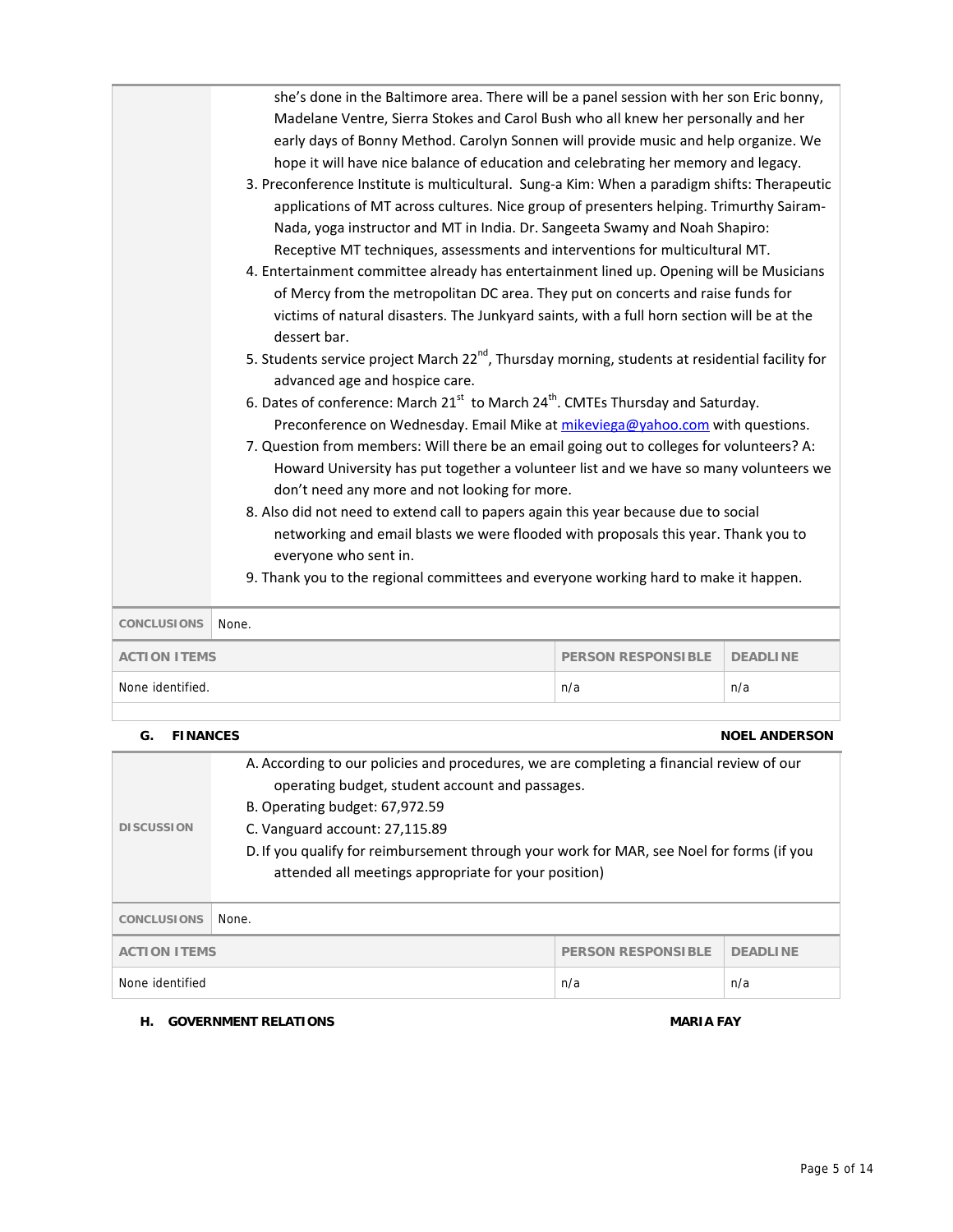| 4. Entertainment committee already has entertainment lined up. Opening will be Musicians<br>of Mercy from the metropolitan DC area. They put on concerts and raise funds for<br>victims of natural disasters. The Junkyard saints, with a full horn section will be at the<br>dessert bar.<br>5. Students service project March 22 <sup>nd</sup> , Thursday morning, students at residential facility for<br>advanced age and hospice care.<br>6. Dates of conference: March 21 <sup>st</sup> to March 24 <sup>th</sup> . CMTEs Thursday and Saturday.<br>Preconference on Wednesday. Email Mike at mikeviega@yahoo.com with questions.<br>7. Question from members: Will there be an email going out to colleges for volunteers? A:<br>Howard University has put together a volunteer list and we have so many volunteers we<br>don't need any more and not looking for more.<br>8. Also did not need to extend call to papers again this year because due to social<br>networking and email blasts we were flooded with proposals this year. Thank you to<br>everyone who sent in.<br>9. Thank you to the regional committees and everyone working hard to make it happen. |  |  |
|------------------------------------------------------------------------------------------------------------------------------------------------------------------------------------------------------------------------------------------------------------------------------------------------------------------------------------------------------------------------------------------------------------------------------------------------------------------------------------------------------------------------------------------------------------------------------------------------------------------------------------------------------------------------------------------------------------------------------------------------------------------------------------------------------------------------------------------------------------------------------------------------------------------------------------------------------------------------------------------------------------------------------------------------------------------------------------------------------------------------------------------------------------------------------|--|--|
| Madelane Ventre, Sierra Stokes and Carol Bush who all knew her personally and her<br>early days of Bonny Method. Carolyn Sonnen will provide music and help organize. We<br>hope it will have nice balance of education and celebrating her memory and legacy.<br>3. Preconference Institute is multicultural. Sung-a Kim: When a paradigm shifts: Therapeutic<br>applications of MT across cultures. Nice group of presenters helping. Trimurthy Sairam-<br>Nada, yoga instructor and MT in India. Dr. Sangeeta Swamy and Noah Shapiro:<br>Receptive MT techniques, assessments and interventions for multicultural MT.                                                                                                                                                                                                                                                                                                                                                                                                                                                                                                                                                     |  |  |

| <b>DISCUSSION</b>                                                   | A. According to our policies and procedures, we are completing a financial review of our<br>operating budget, student account and passages.<br>B. Operating budget: 67,972.59<br>C. Vanguard account: 27,115.89<br>D. If you qualify for reimbursement through your work for MAR, see Noel for forms (if you<br>attended all meetings appropriate for your position) |  |  |
|---------------------------------------------------------------------|----------------------------------------------------------------------------------------------------------------------------------------------------------------------------------------------------------------------------------------------------------------------------------------------------------------------------------------------------------------------|--|--|
| <b>CONCLUSIONS</b>                                                  | None.                                                                                                                                                                                                                                                                                                                                                                |  |  |
| <b>ACTION ITEMS</b><br><b>PERSON RESPONSIBLE</b><br><b>DEADLINE</b> |                                                                                                                                                                                                                                                                                                                                                                      |  |  |
| None identified<br>n/a<br>n/a                                       |                                                                                                                                                                                                                                                                                                                                                                      |  |  |

# **H. GOVERNMENT RELATIONS MARIA FAY**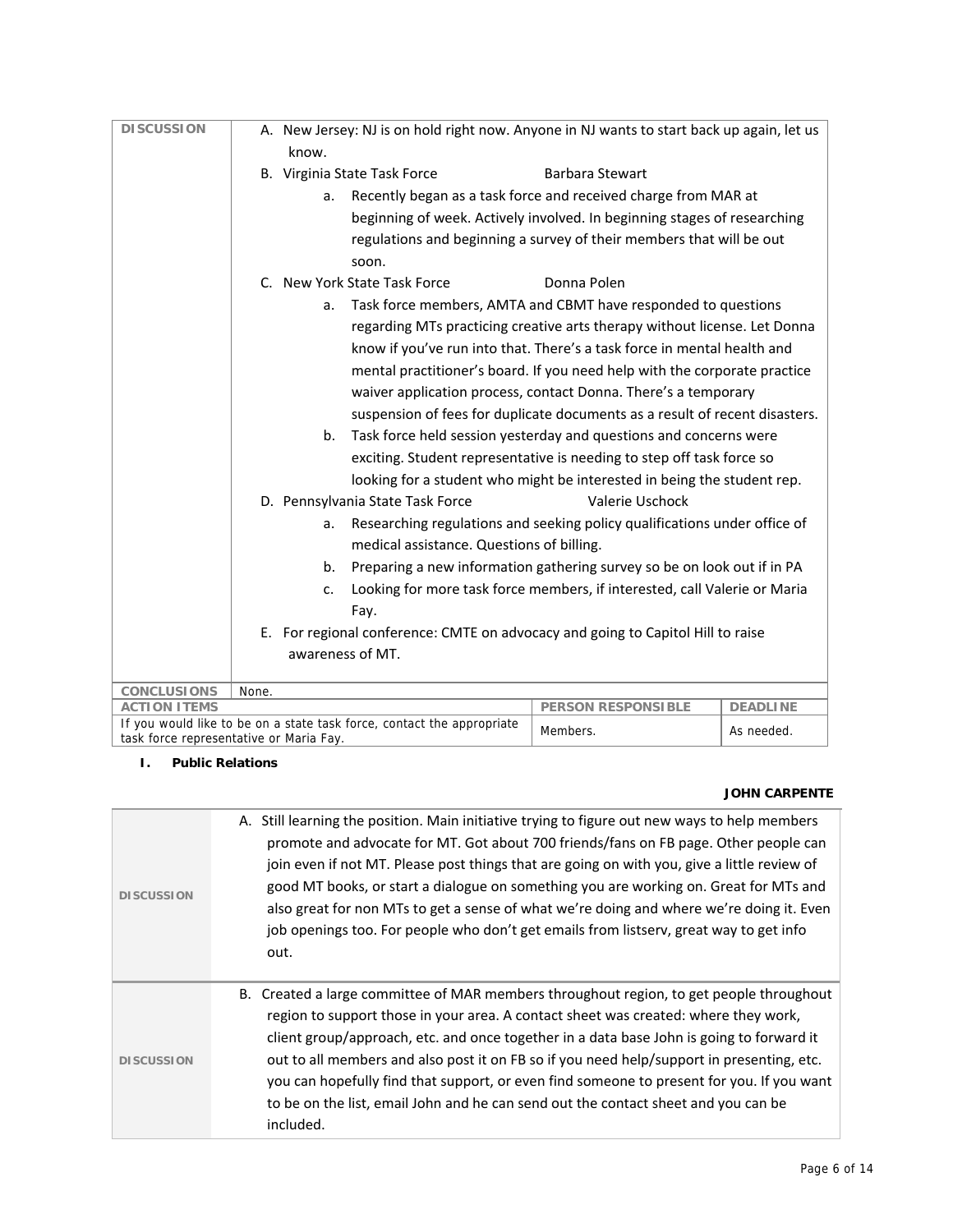# **I. Public Relations**

 $\sim$ 

# **JOHN CARPENTE**

| <b>DISCUSSION</b> | A. Still learning the position. Main initiative trying to figure out new ways to help members<br>promote and advocate for MT. Got about 700 friends/fans on FB page. Other people can<br>join even if not MT. Please post things that are going on with you, give a little review of<br>good MT books, or start a dialogue on something you are working on. Great for MTs and<br>also great for non MTs to get a sense of what we're doing and where we're doing it. Even<br>job openings too. For people who don't get emails from listserv, great way to get info<br>out. |
|-------------------|-----------------------------------------------------------------------------------------------------------------------------------------------------------------------------------------------------------------------------------------------------------------------------------------------------------------------------------------------------------------------------------------------------------------------------------------------------------------------------------------------------------------------------------------------------------------------------|
| <b>DISCUSSION</b> | B. Created a large committee of MAR members throughout region, to get people throughout<br>region to support those in your area. A contact sheet was created: where they work,<br>client group/approach, etc. and once together in a data base John is going to forward it<br>out to all members and also post it on FB so if you need help/support in presenting, etc.<br>you can hopefully find that support, or even find someone to present for you. If you want<br>to be on the list, email John and he can send out the contact sheet and you can be<br>included.     |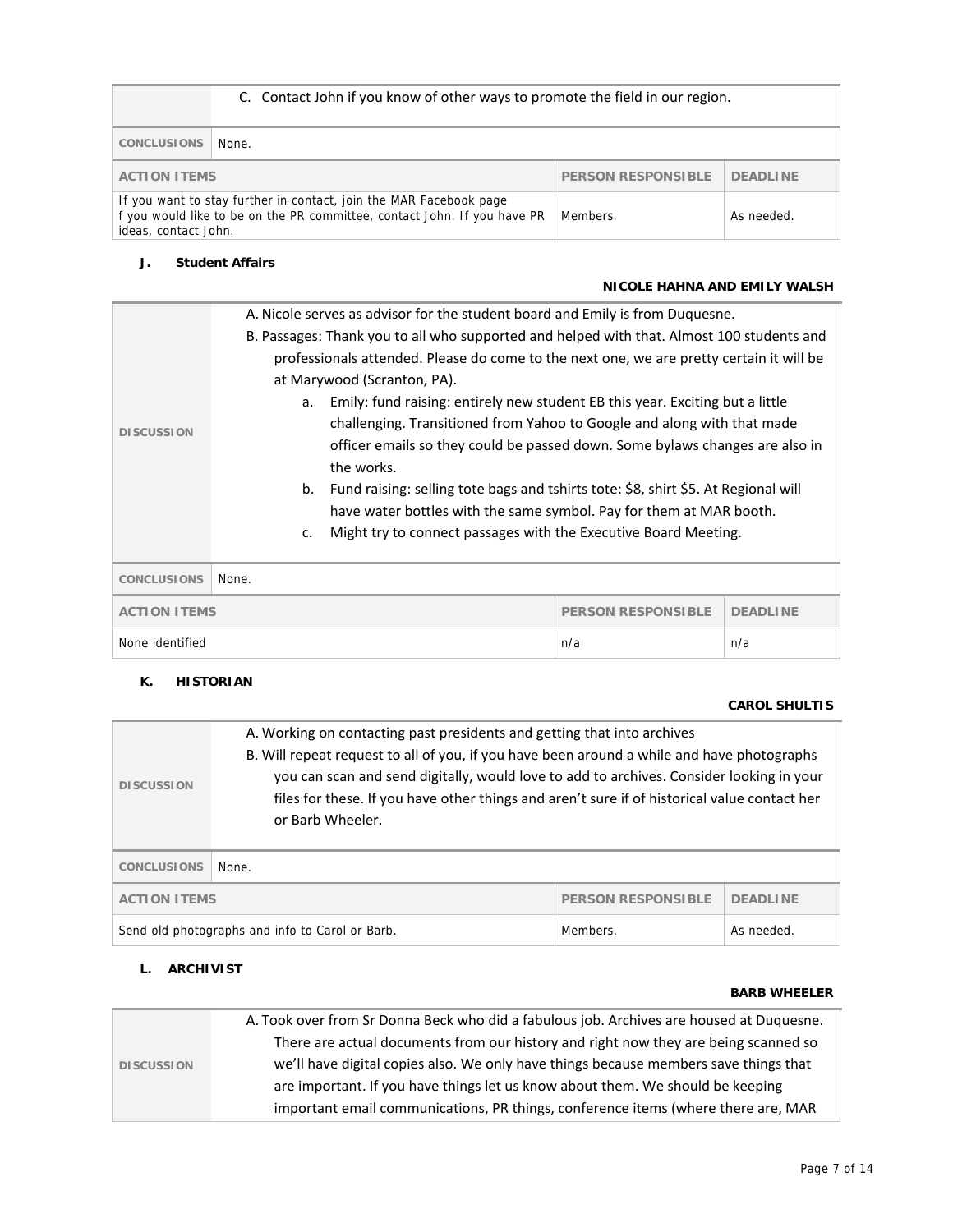|                                                                                                                                                                                    | C. Contact John if you know of other ways to promote the field in our region. |  |            |
|------------------------------------------------------------------------------------------------------------------------------------------------------------------------------------|-------------------------------------------------------------------------------|--|------------|
| <b>CONCLUSIONS</b>                                                                                                                                                                 | None.                                                                         |  |            |
| <b>PERSON RESPONSIBLE</b><br><b>DEADLINE</b><br><b>ACTION ITEMS</b>                                                                                                                |                                                                               |  |            |
| If you want to stay further in contact, join the MAR Facebook page<br>f you would like to be on the PR committee, contact John. If you have PR<br>Members.<br>ideas, contact John. |                                                                               |  | As needed. |

# **J. Student Affairs**

# **NICOLE HAHNA AND EMILY WALSH**

|                     | A. Nicole serves as advisor for the student board and Emily is from Duquesne.             |  |  |  |
|---------------------|-------------------------------------------------------------------------------------------|--|--|--|
|                     | B. Passages: Thank you to all who supported and helped with that. Almost 100 students and |  |  |  |
|                     | professionals attended. Please do come to the next one, we are pretty certain it will be  |  |  |  |
|                     | at Marywood (Scranton, PA).                                                               |  |  |  |
|                     | Emily: fund raising: entirely new student EB this year. Exciting but a little<br>a.       |  |  |  |
| <b>DISCUSSION</b>   | challenging. Transitioned from Yahoo to Google and along with that made                   |  |  |  |
|                     | officer emails so they could be passed down. Some bylaws changes are also in              |  |  |  |
|                     | the works.                                                                                |  |  |  |
|                     | Fund raising: selling tote bags and tshirts tote: \$8, shirt \$5. At Regional will<br>b.  |  |  |  |
|                     | have water bottles with the same symbol. Pay for them at MAR booth.                       |  |  |  |
|                     | Might try to connect passages with the Executive Board Meeting.<br>$C_{\bullet}$          |  |  |  |
|                     |                                                                                           |  |  |  |
| <b>CONCLUSIONS</b>  | None.                                                                                     |  |  |  |
| <b>ACTION ITEMS</b> | <b>DEADLINE</b><br><b>PERSON RESPONSIBLE</b>                                              |  |  |  |
| None identified     | n/a<br>n/a                                                                                |  |  |  |

# **K. HISTORIAN**

# **CAROL SHULTIS**

| <b>DISCUSSION</b>                                                         | A. Working on contacting past presidents and getting that into archives<br>B. Will repeat request to all of you, if you have been around a while and have photographs<br>you can scan and send digitally, would love to add to archives. Consider looking in your<br>files for these. If you have other things and aren't sure if of historical value contact her<br>or Barb Wheeler. |  |  |
|---------------------------------------------------------------------------|---------------------------------------------------------------------------------------------------------------------------------------------------------------------------------------------------------------------------------------------------------------------------------------------------------------------------------------------------------------------------------------|--|--|
| <b>CONCLUSIONS</b>                                                        | None.                                                                                                                                                                                                                                                                                                                                                                                 |  |  |
| <b>PERSON RESPONSIBLE</b><br><b>ACTION ITEMS</b><br><b>DEADLINE</b>       |                                                                                                                                                                                                                                                                                                                                                                                       |  |  |
| Send old photographs and info to Carol or Barb.<br>Members.<br>As needed. |                                                                                                                                                                                                                                                                                                                                                                                       |  |  |

# **L. ARCHIVIST**

### **BARB WHEELER**

| <b>DISCUSSION</b> | A. Took over from Sr Donna Beck who did a fabulous job. Archives are housed at Duquesne. |
|-------------------|------------------------------------------------------------------------------------------|
|                   | There are actual documents from our history and right now they are being scanned so      |
|                   | we'll have digital copies also. We only have things because members save things that     |
|                   | are important. If you have things let us know about them. We should be keeping           |
|                   | important email communications, PR things, conference items (where there are, MAR        |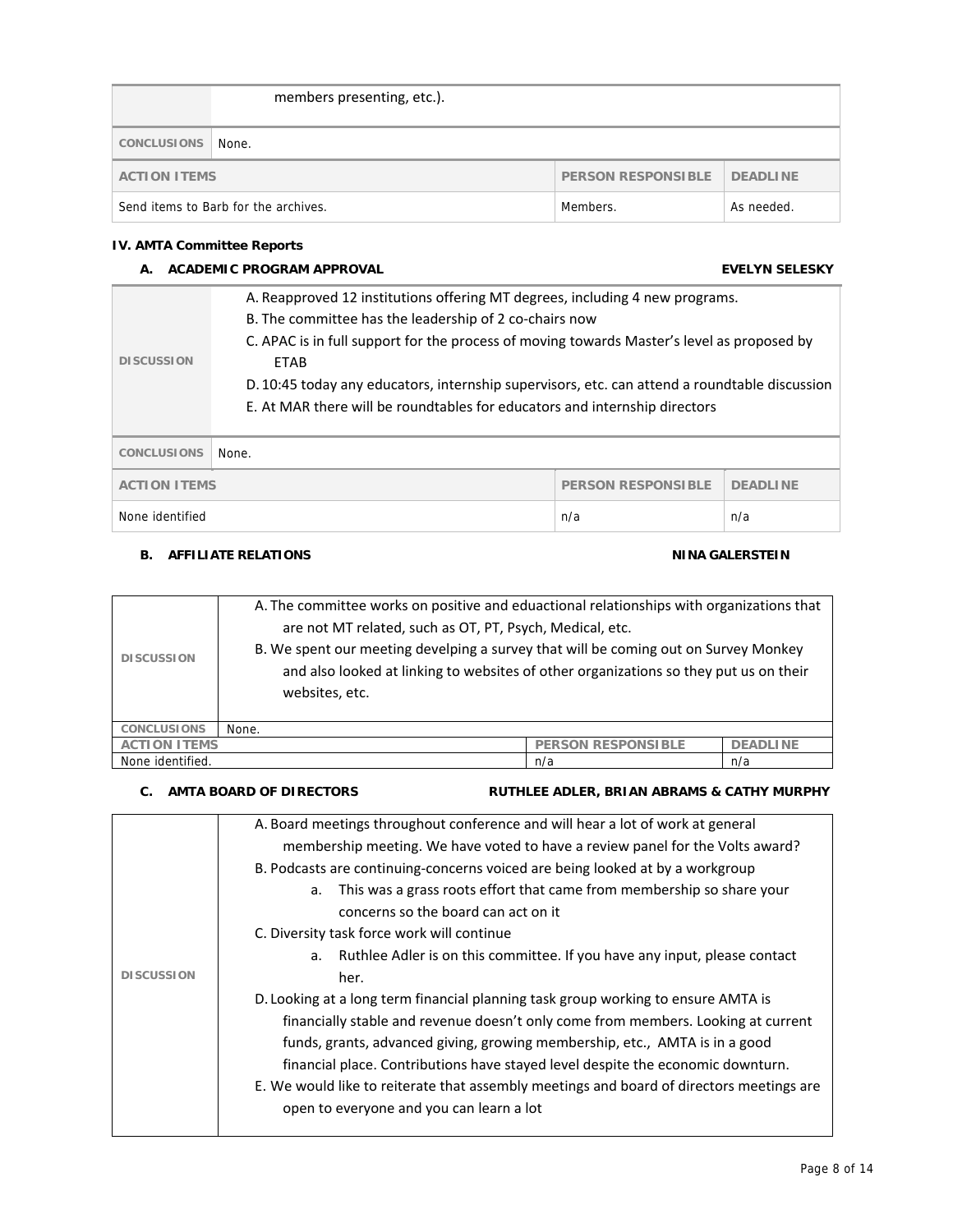|                                                                | members presenting, etc.). |  |  |
|----------------------------------------------------------------|----------------------------|--|--|
| CONCLUSIONS                                                    | None.                      |  |  |
| <b>PERSON RESPONSIBLE</b><br>DEADLINE<br><b>ACTION ITEMS</b>   |                            |  |  |
| Send items to Barb for the archives.<br>Members.<br>As needed. |                            |  |  |

### **IV. AMTA Committee Reports**

# **A. ACADEMIC PROGRAM APPROVAL EVELYN SELESKY DISCUSSION**  A. Reapproved 12 institutions offering MT degrees, including 4 new programs. B. The committee has the leadership of 2 co-chairs now C. APAC is in full support for the process of moving towards Master's level as proposed by ETAB D. 10:45 today any educators, internship supervisors, etc. can attend a roundtable discussion E. At MAR there will be roundtables for educators and internship directors **CONCLUSIONS** None. **ACTION ITEMS** PERSON RESPONSIBLE DEADLINE None identified n/a n/a

# **B. AFFILIATE RELATIONS CONSUMING ALTERATIONS**

| <b>DISCUSSION</b>   | A. The committee works on positive and eduactional relationships with organizations that<br>are not MT related, such as OT, PT, Psych, Medical, etc.<br>B. We spent our meeting develping a survey that will be coming out on Survey Monkey<br>and also looked at linking to websites of other organizations so they put us on their<br>websites, etc. |  |  |
|---------------------|--------------------------------------------------------------------------------------------------------------------------------------------------------------------------------------------------------------------------------------------------------------------------------------------------------------------------------------------------------|--|--|
| <b>CONCLUSIONS</b>  | None.                                                                                                                                                                                                                                                                                                                                                  |  |  |
| <b>ACTION ITEMS</b> | <b>PERSON RESPONSIBLE</b><br><b>DEADLINE</b>                                                                                                                                                                                                                                                                                                           |  |  |
| None identified.    | n/a<br>n/a                                                                                                                                                                                                                                                                                                                                             |  |  |

#### **C.** AMTA BOARD OF DIRECTORS **RUTHLEE ADLER, BRIAN ABRAMS & CATHY MURPHY**

|                   | A. Board meetings throughout conference and will hear a lot of work at general           |
|-------------------|------------------------------------------------------------------------------------------|
|                   | membership meeting. We have voted to have a review panel for the Volts award?            |
|                   | B. Podcasts are continuing-concerns voiced are being looked at by a workgroup            |
|                   | This was a grass roots effort that came from membership so share your<br>a.              |
|                   | concerns so the board can act on it                                                      |
|                   | C. Diversity task force work will continue                                               |
|                   | Ruthlee Adler is on this committee. If you have any input, please contact<br>a.          |
| <b>DISCUSSION</b> | her.                                                                                     |
|                   | D. Looking at a long term financial planning task group working to ensure AMTA is        |
|                   | financially stable and revenue doesn't only come from members. Looking at current        |
|                   | funds, grants, advanced giving, growing membership, etc., AMTA is in a good              |
|                   | financial place. Contributions have stayed level despite the economic downturn.          |
|                   | E. We would like to reiterate that assembly meetings and board of directors meetings are |
|                   | open to everyone and you can learn a lot                                                 |
|                   |                                                                                          |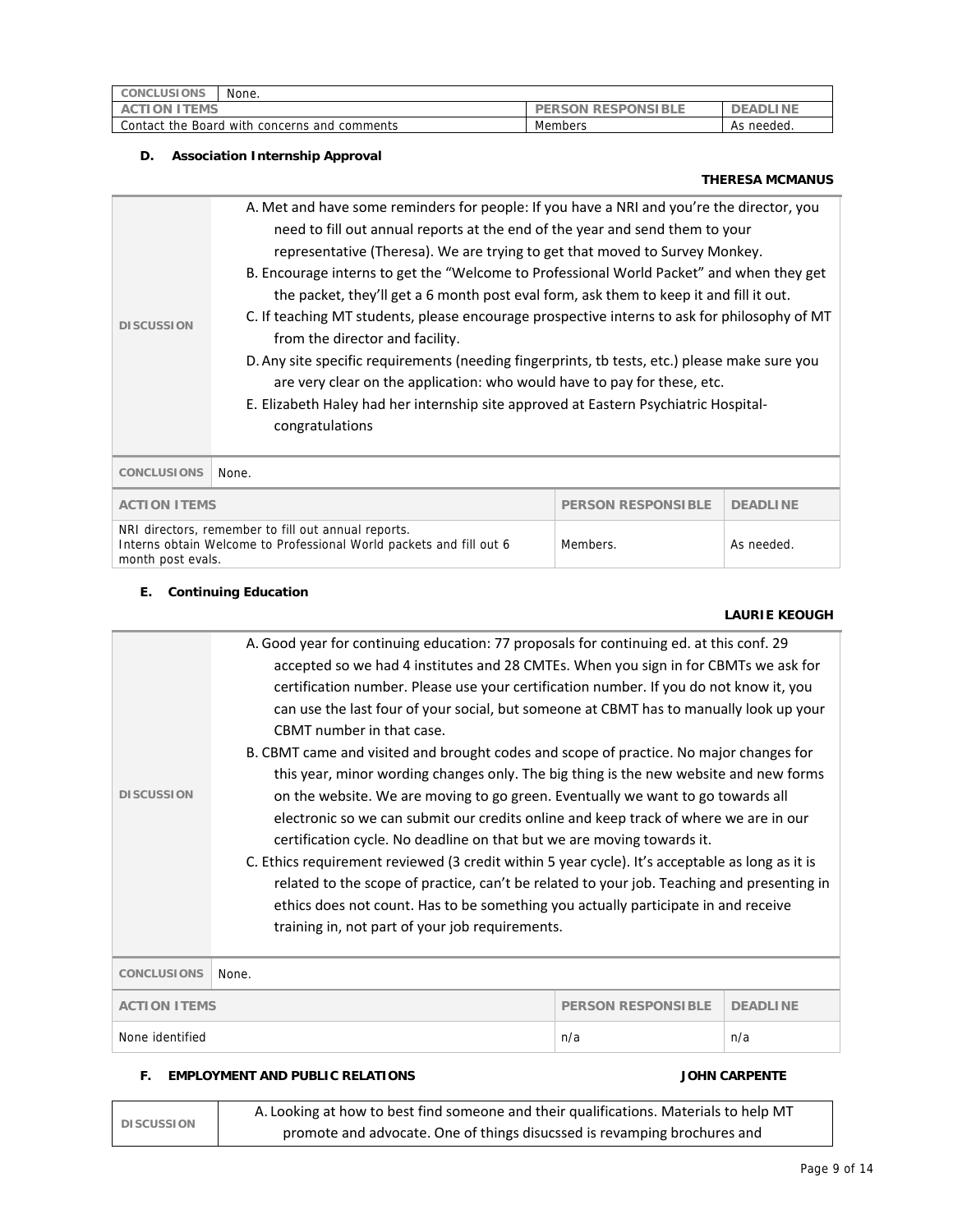| None.<br><b>CONCLUSIONS</b>                  |                           |               |
|----------------------------------------------|---------------------------|---------------|
| ION ITEMS<br>ACTI                            | <b>PERSON RESPONSIBLE</b> | .I NI<br>DE.  |
| Contact the Board with concerns and comments | Members                   | needed.<br>As |

## **D. Association Internship Approval**

# **THERESA MCMANUS**

|                                                                                                                                                             | A. Met and have some reminders for people: If you have a NRI and you're the director, you     |            |                 |  |  |
|-------------------------------------------------------------------------------------------------------------------------------------------------------------|-----------------------------------------------------------------------------------------------|------------|-----------------|--|--|
|                                                                                                                                                             | need to fill out annual reports at the end of the year and send them to your                  |            |                 |  |  |
|                                                                                                                                                             | representative (Theresa). We are trying to get that moved to Survey Monkey.                   |            |                 |  |  |
|                                                                                                                                                             | B. Encourage interns to get the "Welcome to Professional World Packet" and when they get      |            |                 |  |  |
|                                                                                                                                                             | the packet, they'll get a 6 month post eval form, ask them to keep it and fill it out.        |            |                 |  |  |
| <b>DISCUSSION</b>                                                                                                                                           | C. If teaching MT students, please encourage prospective interns to ask for philosophy of MT  |            |                 |  |  |
|                                                                                                                                                             | from the director and facility.                                                               |            |                 |  |  |
|                                                                                                                                                             | D. Any site specific requirements (needing fingerprints, tb tests, etc.) please make sure you |            |                 |  |  |
|                                                                                                                                                             | are very clear on the application: who would have to pay for these, etc.                      |            |                 |  |  |
|                                                                                                                                                             | E. Elizabeth Haley had her internship site approved at Eastern Psychiatric Hospital-          |            |                 |  |  |
|                                                                                                                                                             | congratulations                                                                               |            |                 |  |  |
|                                                                                                                                                             |                                                                                               |            |                 |  |  |
| <b>CONCLUSIONS</b>                                                                                                                                          | None.                                                                                         |            |                 |  |  |
| <b>ACTION ITEMS</b><br><b>PERSON RESPONSIBLE</b>                                                                                                            |                                                                                               |            | <b>DEADLINE</b> |  |  |
| NRI directors, remember to fill out annual reports.<br>Interns obtain Welcome to Professional World packets and fill out 6<br>Members.<br>month post evals. |                                                                                               | As needed. |                 |  |  |

# **E. Continuing Education**

# **LAURIE KEOUGH**

| <b>DISCUSSION</b>  | accepted so we had 4 institutes and 28 CMTEs. When you sign in for CBMTs we ask for<br>certification number. Please use your certification number. If you do not know it, you<br>can use the last four of your social, but someone at CBMT has to manually look up your<br>CBMT number in that case.<br>B. CBMT came and visited and brought codes and scope of practice. No major changes for<br>this year, minor wording changes only. The big thing is the new website and new forms<br>on the website. We are moving to go green. Eventually we want to go towards all<br>electronic so we can submit our credits online and keep track of where we are in our<br>certification cycle. No deadline on that but we are moving towards it.<br>C. Ethics requirement reviewed (3 credit within 5 year cycle). It's acceptable as long as it is<br>related to the scope of practice, can't be related to your job. Teaching and presenting in<br>ethics does not count. Has to be something you actually participate in and receive<br>training in, not part of your job requirements. |     |     |
|--------------------|----------------------------------------------------------------------------------------------------------------------------------------------------------------------------------------------------------------------------------------------------------------------------------------------------------------------------------------------------------------------------------------------------------------------------------------------------------------------------------------------------------------------------------------------------------------------------------------------------------------------------------------------------------------------------------------------------------------------------------------------------------------------------------------------------------------------------------------------------------------------------------------------------------------------------------------------------------------------------------------------------------------------------------------------------------------------------------------|-----|-----|
| <b>CONCLUSIONS</b> | None.                                                                                                                                                                                                                                                                                                                                                                                                                                                                                                                                                                                                                                                                                                                                                                                                                                                                                                                                                                                                                                                                                  |     |     |
|                    | <b>ACTION ITEMS</b><br><b>PERSON RESPONSIBLE</b><br><b>DEADLINE</b>                                                                                                                                                                                                                                                                                                                                                                                                                                                                                                                                                                                                                                                                                                                                                                                                                                                                                                                                                                                                                    |     |     |
| None identified    |                                                                                                                                                                                                                                                                                                                                                                                                                                                                                                                                                                                                                                                                                                                                                                                                                                                                                                                                                                                                                                                                                        | n/a | n/a |
|                    |                                                                                                                                                                                                                                                                                                                                                                                                                                                                                                                                                                                                                                                                                                                                                                                                                                                                                                                                                                                                                                                                                        |     |     |

# **F. EMPLOYMENT AND PUBLIC RELATIONS JOHN CARPENTE**

| <b>DISCUSSION</b> | A. Looking at how to best find someone and their qualifications. Materials to help MT |
|-------------------|---------------------------------------------------------------------------------------|
|                   | promote and advocate. One of things disucssed is revamping brochures and              |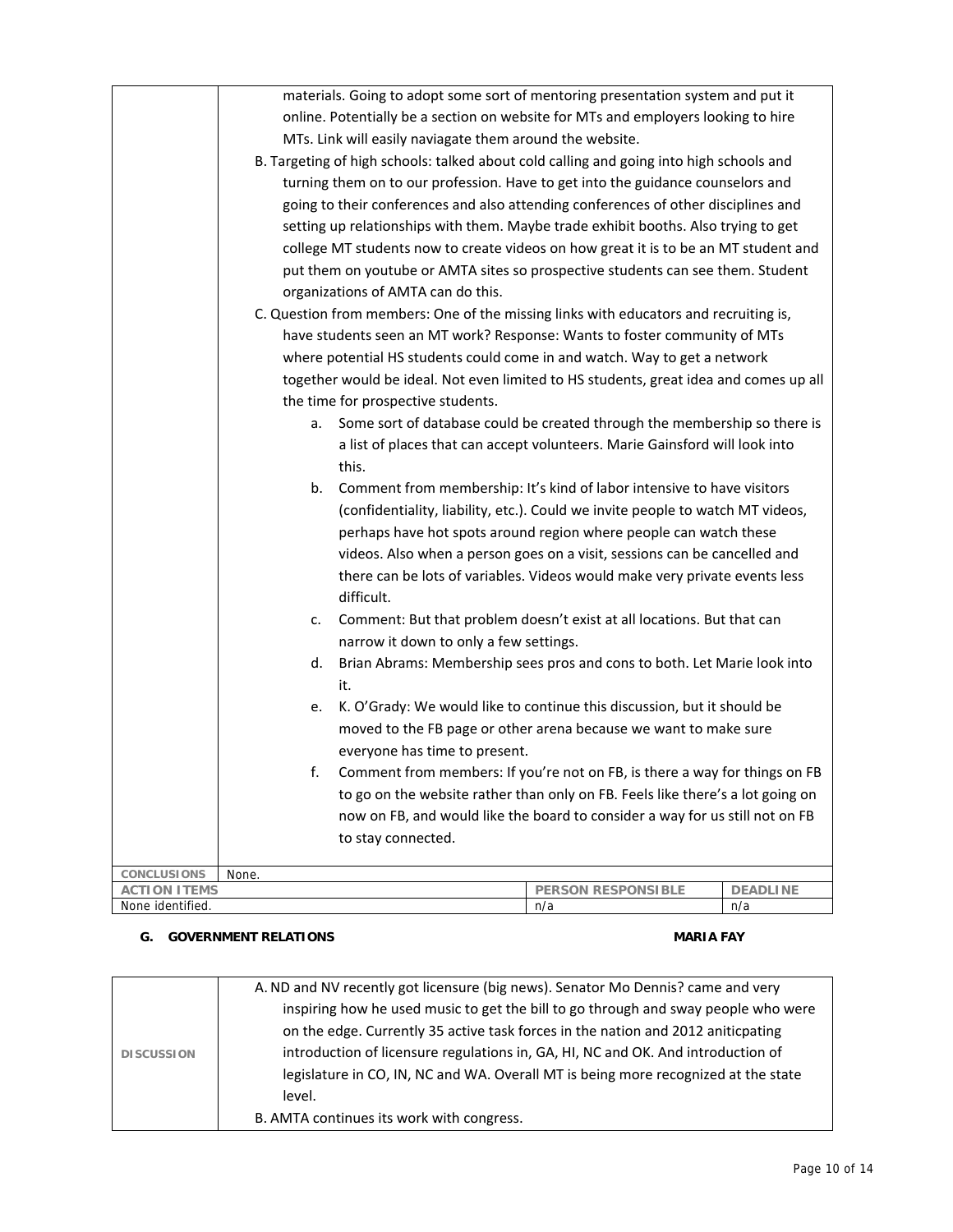|                                    |                                                                                   | materials. Going to adopt some sort of mentoring presentation system and put it         |                                                                                |                 |
|------------------------------------|-----------------------------------------------------------------------------------|-----------------------------------------------------------------------------------------|--------------------------------------------------------------------------------|-----------------|
|                                    | online. Potentially be a section on website for MTs and employers looking to hire |                                                                                         |                                                                                |                 |
|                                    |                                                                                   | MTs. Link will easily naviagate them around the website.                                |                                                                                |                 |
|                                    |                                                                                   | B. Targeting of high schools: talked about cold calling and going into high schools and |                                                                                |                 |
|                                    | turning them on to our profession. Have to get into the guidance counselors and   |                                                                                         |                                                                                |                 |
|                                    |                                                                                   | going to their conferences and also attending conferences of other disciplines and      |                                                                                |                 |
|                                    |                                                                                   | setting up relationships with them. Maybe trade exhibit booths. Also trying to get      |                                                                                |                 |
|                                    |                                                                                   | college MT students now to create videos on how great it is to be an MT student and     |                                                                                |                 |
|                                    | put them on youtube or AMTA sites so prospective students can see them. Student   |                                                                                         |                                                                                |                 |
|                                    |                                                                                   | organizations of AMTA can do this.                                                      |                                                                                |                 |
|                                    |                                                                                   | C. Question from members: One of the missing links with educators and recruiting is,    |                                                                                |                 |
|                                    |                                                                                   | have students seen an MT work? Response: Wants to foster community of MTs               |                                                                                |                 |
|                                    |                                                                                   | where potential HS students could come in and watch. Way to get a network               |                                                                                |                 |
|                                    |                                                                                   | together would be ideal. Not even limited to HS students, great idea and comes up all   |                                                                                |                 |
|                                    |                                                                                   | the time for prospective students.                                                      |                                                                                |                 |
|                                    | а.                                                                                |                                                                                         | Some sort of database could be created through the membership so there is      |                 |
|                                    |                                                                                   |                                                                                         | a list of places that can accept volunteers. Marie Gainsford will look into    |                 |
|                                    |                                                                                   | this.                                                                                   |                                                                                |                 |
|                                    | b.                                                                                |                                                                                         | Comment from membership: It's kind of labor intensive to have visitors         |                 |
|                                    |                                                                                   | (confidentiality, liability, etc.). Could we invite people to watch MT videos,          |                                                                                |                 |
|                                    |                                                                                   | perhaps have hot spots around region where people can watch these                       |                                                                                |                 |
|                                    |                                                                                   | videos. Also when a person goes on a visit, sessions can be cancelled and               |                                                                                |                 |
|                                    |                                                                                   | there can be lots of variables. Videos would make very private events less              |                                                                                |                 |
|                                    |                                                                                   | difficult.                                                                              |                                                                                |                 |
|                                    | c.                                                                                |                                                                                         | Comment: But that problem doesn't exist at all locations. But that can         |                 |
|                                    |                                                                                   | narrow it down to only a few settings.                                                  |                                                                                |                 |
|                                    | d.                                                                                |                                                                                         | Brian Abrams: Membership sees pros and cons to both. Let Marie look into       |                 |
|                                    |                                                                                   | it.                                                                                     |                                                                                |                 |
|                                    | e.                                                                                |                                                                                         | K. O'Grady: We would like to continue this discussion, but it should be        |                 |
|                                    |                                                                                   |                                                                                         | moved to the FB page or other arena because we want to make sure               |                 |
|                                    |                                                                                   | everyone has time to present.                                                           |                                                                                |                 |
|                                    | f.                                                                                |                                                                                         | Comment from members: If you're not on FB, is there a way for things on FB     |                 |
|                                    |                                                                                   |                                                                                         | to go on the website rather than only on FB. Feels like there's a lot going on |                 |
|                                    |                                                                                   |                                                                                         | now on FB, and would like the board to consider a way for us still not on FB   |                 |
|                                    | to stay connected.                                                                |                                                                                         |                                                                                |                 |
|                                    |                                                                                   |                                                                                         |                                                                                |                 |
| CONCLUSIONS<br><b>ACTION ITEMS</b> | None.                                                                             |                                                                                         | <b>PERSON RESPONSIBLE</b>                                                      | <b>DEADLINE</b> |
| None identified.                   |                                                                                   |                                                                                         | n/a                                                                            | n/a             |

# **G.** GOVERNMENT RELATIONS **MARIA FAY**

|                   | A. ND and NV recently got licensure (big news). Senator Mo Dennis? came and very   |
|-------------------|------------------------------------------------------------------------------------|
|                   | inspiring how he used music to get the bill to go through and sway people who were |
|                   | on the edge. Currently 35 active task forces in the nation and 2012 aniticpating   |
| <b>DISCUSSION</b> | introduction of licensure regulations in, GA, HI, NC and OK. And introduction of   |
|                   | legislature in CO, IN, NC and WA. Overall MT is being more recognized at the state |
|                   | level.                                                                             |
|                   | B. AMTA continues its work with congress.                                          |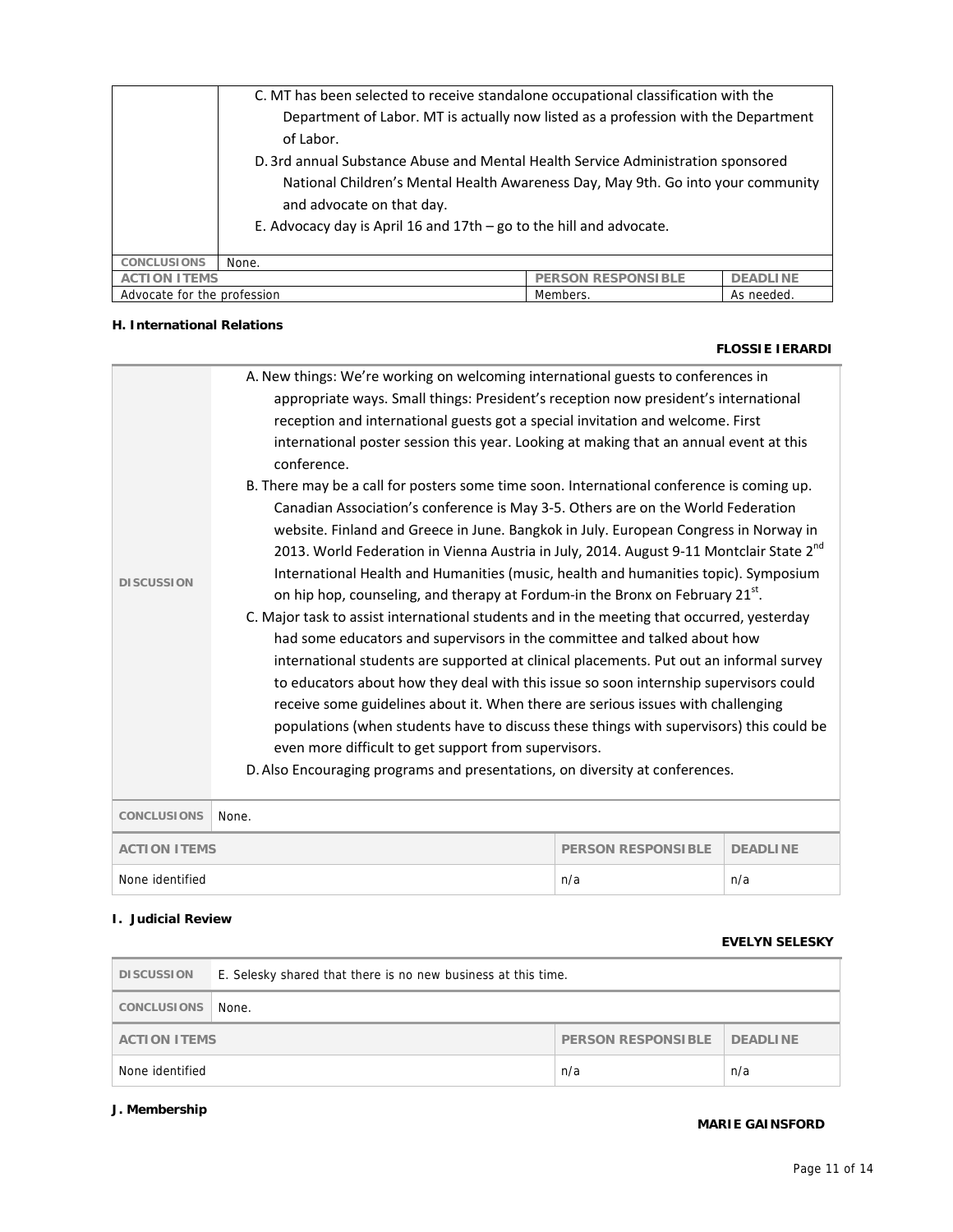|                     | C. MT has been selected to receive standalone occupational classification with the<br>Department of Labor. MT is actually now listed as a profession with the Department<br>of Labor.<br>D. 3rd annual Substance Abuse and Mental Health Service Administration sponsored<br>National Children's Mental Health Awareness Day, May 9th. Go into your community<br>and advocate on that day.<br>E. Advocacy day is April 16 and 17th $-$ go to the hill and advocate. |  |  |
|---------------------|---------------------------------------------------------------------------------------------------------------------------------------------------------------------------------------------------------------------------------------------------------------------------------------------------------------------------------------------------------------------------------------------------------------------------------------------------------------------|--|--|
| <b>CONCLUSIONS</b>  | None.                                                                                                                                                                                                                                                                                                                                                                                                                                                               |  |  |
| <b>ACTION ITEMS</b> | <b>PERSON RESPONSIBLE</b><br><b>DEADLINE</b>                                                                                                                                                                                                                                                                                                                                                                                                                        |  |  |
|                     | Advocate for the profession<br>Members.<br>As needed.                                                                                                                                                                                                                                                                                                                                                                                                               |  |  |

# **H. International Relations**

#### **FLOSSIE IERARDI**

| <b>DISCUSSION</b>   | appropriate ways. Small things: President's reception now president's international<br>reception and international guests got a special invitation and welcome. First<br>international poster session this year. Looking at making that an annual event at this<br>conference.<br>B. There may be a call for posters some time soon. International conference is coming up.<br>Canadian Association's conference is May 3-5. Others are on the World Federation<br>website. Finland and Greece in June. Bangkok in July. European Congress in Norway in<br>2013. World Federation in Vienna Austria in July, 2014. August 9-11 Montclair State 2 <sup>nd</sup><br>International Health and Humanities (music, health and humanities topic). Symposium<br>on hip hop, counseling, and therapy at Fordum-in the Bronx on February 21 <sup>st</sup> .<br>C. Major task to assist international students and in the meeting that occurred, yesterday<br>had some educators and supervisors in the committee and talked about how<br>international students are supported at clinical placements. Put out an informal survey<br>to educators about how they deal with this issue so soon internship supervisors could<br>receive some guidelines about it. When there are serious issues with challenging<br>populations (when students have to discuss these things with supervisors) this could be<br>even more difficult to get support from supervisors.<br>D. Also Encouraging programs and presentations, on diversity at conferences. |                           |                 |  |  |
|---------------------|-----------------------------------------------------------------------------------------------------------------------------------------------------------------------------------------------------------------------------------------------------------------------------------------------------------------------------------------------------------------------------------------------------------------------------------------------------------------------------------------------------------------------------------------------------------------------------------------------------------------------------------------------------------------------------------------------------------------------------------------------------------------------------------------------------------------------------------------------------------------------------------------------------------------------------------------------------------------------------------------------------------------------------------------------------------------------------------------------------------------------------------------------------------------------------------------------------------------------------------------------------------------------------------------------------------------------------------------------------------------------------------------------------------------------------------------------------------------------------------------------------------------------------------------|---------------------------|-----------------|--|--|
|                     |                                                                                                                                                                                                                                                                                                                                                                                                                                                                                                                                                                                                                                                                                                                                                                                                                                                                                                                                                                                                                                                                                                                                                                                                                                                                                                                                                                                                                                                                                                                                         |                           |                 |  |  |
| CONCLUSIONS         | None.                                                                                                                                                                                                                                                                                                                                                                                                                                                                                                                                                                                                                                                                                                                                                                                                                                                                                                                                                                                                                                                                                                                                                                                                                                                                                                                                                                                                                                                                                                                                   |                           |                 |  |  |
| <b>ACTION ITEMS</b> |                                                                                                                                                                                                                                                                                                                                                                                                                                                                                                                                                                                                                                                                                                                                                                                                                                                                                                                                                                                                                                                                                                                                                                                                                                                                                                                                                                                                                                                                                                                                         | <b>PERSON RESPONSIBLE</b> | <b>DEADLINE</b> |  |  |

# **I. Judicial Review**

### **EVELYN SELESKY**

| <b>DISCUSSION</b>                                                   | E. Selesky shared that there is no new business at this time. |  |  |
|---------------------------------------------------------------------|---------------------------------------------------------------|--|--|
| CONCLUSIONS                                                         | None.                                                         |  |  |
| <b>PERSON RESPONSIBLE</b><br><b>DEADLINE</b><br><b>ACTION ITEMS</b> |                                                               |  |  |
| None identified<br>n/a<br>n/a                                       |                                                               |  |  |

# **J. Membership**

# **MARIE GAINSFORD**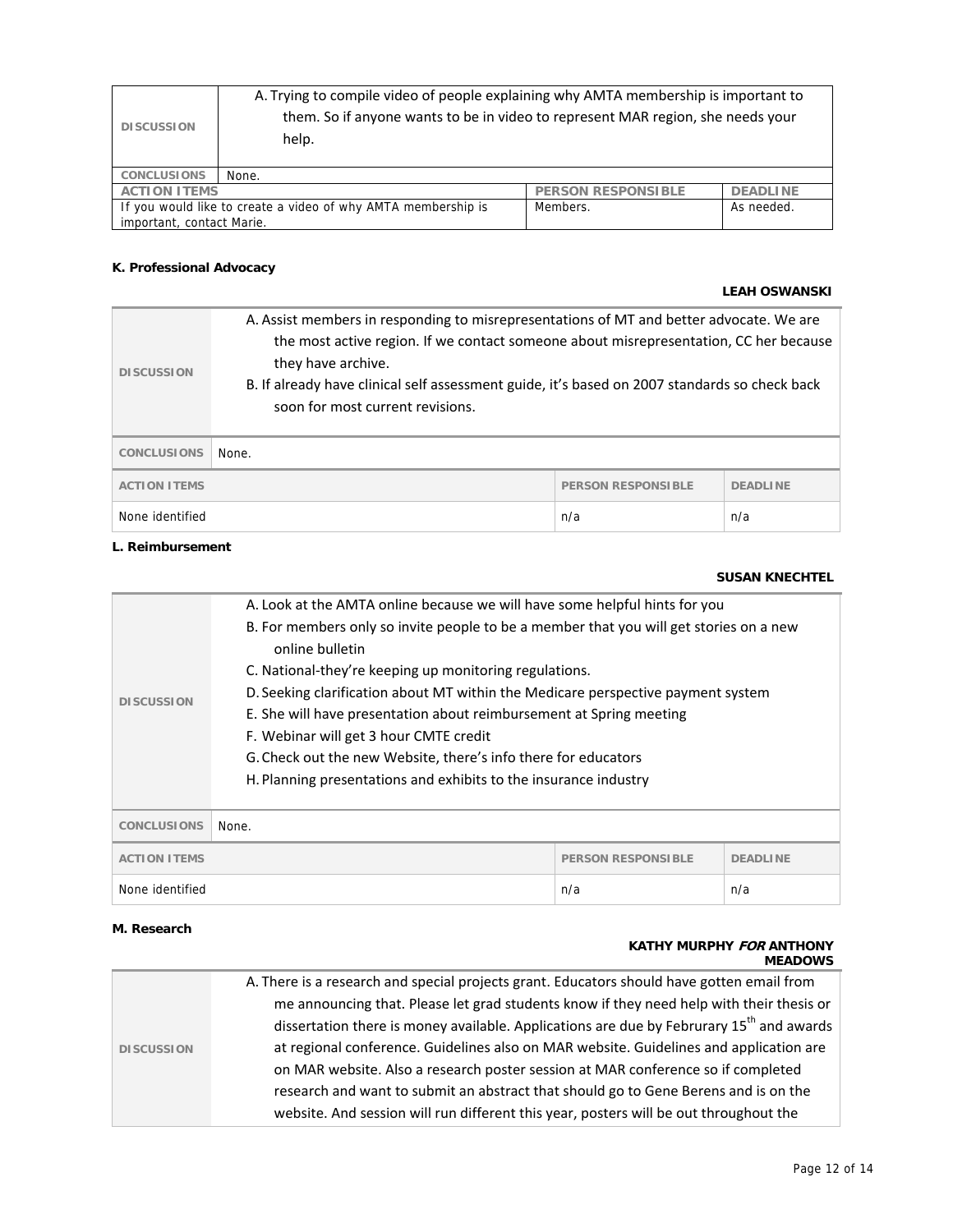| <b>DISCUSSION</b>                                                                                                    | A. Trying to compile video of people explaining why AMTA membership is important to<br>them. So if anyone wants to be in video to represent MAR region, she needs your<br>help. |  |  |
|----------------------------------------------------------------------------------------------------------------------|---------------------------------------------------------------------------------------------------------------------------------------------------------------------------------|--|--|
| <b>CONCLUSIONS</b>                                                                                                   | None.                                                                                                                                                                           |  |  |
| <b>PERSON RESPONSIBLE</b><br><b>ACTION ITEMS</b><br><b>DEADLINE</b>                                                  |                                                                                                                                                                                 |  |  |
| If you would like to create a video of why AMTA membership is<br>Members.<br>As needed.<br>important, contact Marie. |                                                                                                                                                                                 |  |  |

# **K. Professional Advocacy**

# **LEAH OSWANSKI**

| <b>DISCUSSION</b>   | A. Assist members in responding to misrepresentations of MT and better advocate. We are<br>the most active region. If we contact someone about misrepresentation, CC her because<br>they have archive.<br>B. If already have clinical self assessment guide, it's based on 2007 standards so check back<br>soon for most current revisions. |  |  |
|---------------------|---------------------------------------------------------------------------------------------------------------------------------------------------------------------------------------------------------------------------------------------------------------------------------------------------------------------------------------------|--|--|
| <b>CONCLUSIONS</b>  | None.                                                                                                                                                                                                                                                                                                                                       |  |  |
| <b>ACTION ITEMS</b> | <b>PERSON RESPONSIBLE</b><br><b>DEADLINE</b>                                                                                                                                                                                                                                                                                                |  |  |
| None identified     | n/a<br>n/a                                                                                                                                                                                                                                                                                                                                  |  |  |

# **L. Reimbursement**

### **SUSAN KNECHTEL**

| <b>DISCUSSION</b>                                                   | A. Look at the AMTA online because we will have some helpful hints for you<br>B. For members only so invite people to be a member that you will get stories on a new<br>online bulletin<br>C. National-they're keeping up monitoring regulations.<br>D. Seeking clarification about MT within the Medicare perspective payment system<br>E. She will have presentation about reimbursement at Spring meeting<br>F. Webinar will get 3 hour CMTE credit<br>G. Check out the new Website, there's info there for educators<br>H. Planning presentations and exhibits to the insurance industry |  |  |
|---------------------------------------------------------------------|----------------------------------------------------------------------------------------------------------------------------------------------------------------------------------------------------------------------------------------------------------------------------------------------------------------------------------------------------------------------------------------------------------------------------------------------------------------------------------------------------------------------------------------------------------------------------------------------|--|--|
| <b>CONCLUSIONS</b><br>None.                                         |                                                                                                                                                                                                                                                                                                                                                                                                                                                                                                                                                                                              |  |  |
| <b>ACTION ITEMS</b><br><b>PERSON RESPONSIBLE</b><br><b>DEADLINE</b> |                                                                                                                                                                                                                                                                                                                                                                                                                                                                                                                                                                                              |  |  |
| None identified<br>n/a<br>n/a                                       |                                                                                                                                                                                                                                                                                                                                                                                                                                                                                                                                                                                              |  |  |

# **M. Research**

#### **KATHY MURPHY FOR ANTHONY MEADOWS**

|                   | A. There is a research and special projects grant. Educators should have gotten email from           |
|-------------------|------------------------------------------------------------------------------------------------------|
|                   | me announcing that. Please let grad students know if they need help with their thesis or             |
|                   | dissertation there is money available. Applications are due by Februrary 15 <sup>th</sup> and awards |
| <b>DISCUSSION</b> | at regional conference. Guidelines also on MAR website. Guidelines and application are               |
|                   | on MAR website. Also a research poster session at MAR conference so if completed                     |
|                   | research and want to submit an abstract that should go to Gene Berens and is on the                  |
|                   | website. And session will run different this year, posters will be out throughout the                |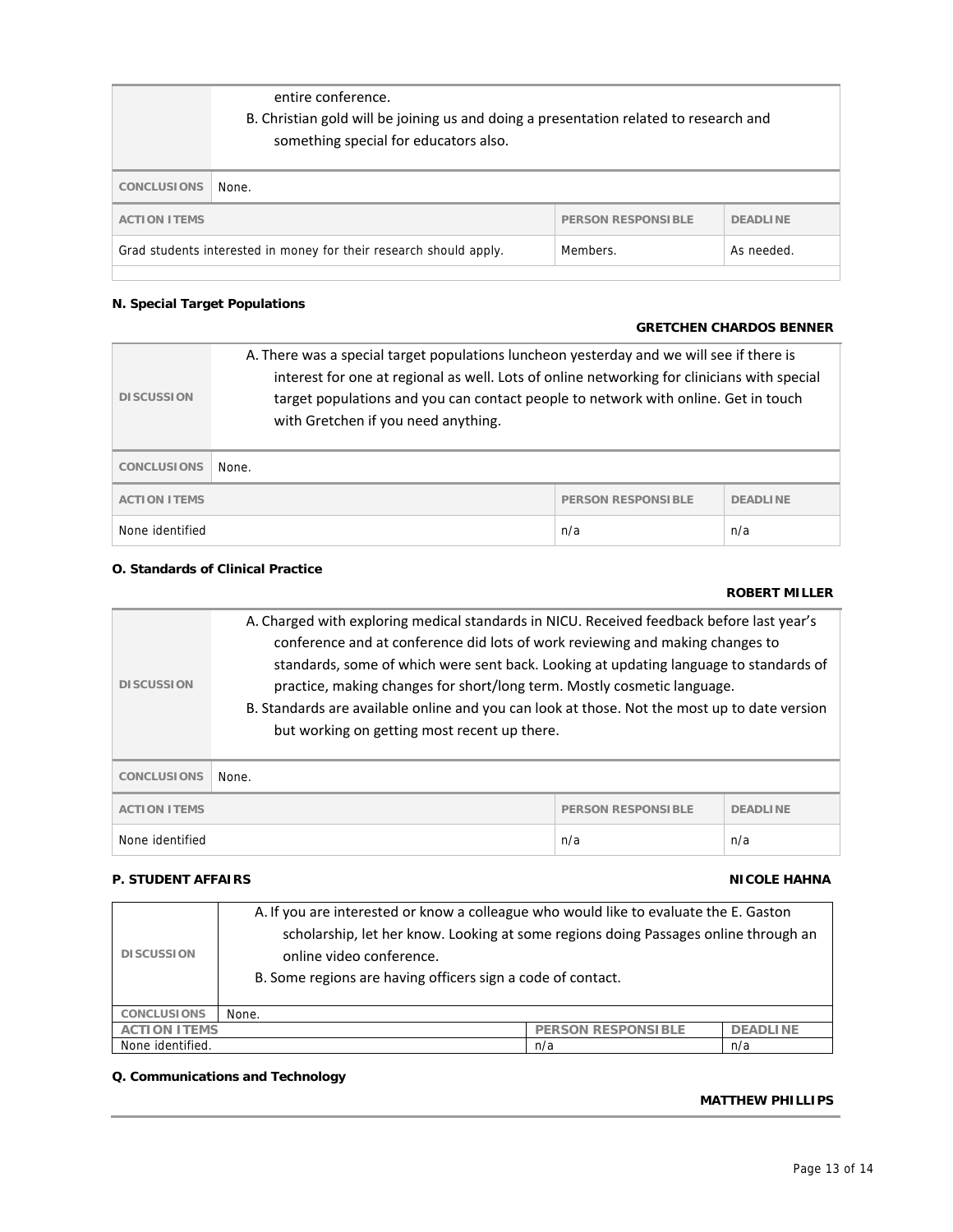|                                                                                              | entire conference.<br>B. Christian gold will be joining us and doing a presentation related to research and<br>something special for educators also. |  |  |
|----------------------------------------------------------------------------------------------|------------------------------------------------------------------------------------------------------------------------------------------------------|--|--|
| <b>CONCLUSIONS</b>                                                                           | None.                                                                                                                                                |  |  |
| <b>PERSON RESPONSIBLE</b><br><b>ACTION ITEMS</b><br><b>DEADLINE</b>                          |                                                                                                                                                      |  |  |
| Members.<br>Grad students interested in money for their research should apply.<br>As needed. |                                                                                                                                                      |  |  |

# **N. Special Target Populations**

# **GRETCHEN CHARDOS BENNER**

| <b>DISCUSSION</b>                                                   | A. There was a special target populations luncheon yesterday and we will see if there is<br>interest for one at regional as well. Lots of online networking for clinicians with special<br>target populations and you can contact people to network with online. Get in touch<br>with Gretchen if you need anything. |  |  |
|---------------------------------------------------------------------|----------------------------------------------------------------------------------------------------------------------------------------------------------------------------------------------------------------------------------------------------------------------------------------------------------------------|--|--|
| <b>CONCLUSIONS</b>                                                  | None.                                                                                                                                                                                                                                                                                                                |  |  |
| <b>ACTION ITEMS</b><br><b>PERSON RESPONSIBLE</b><br><b>DEADLINE</b> |                                                                                                                                                                                                                                                                                                                      |  |  |
| None identified<br>n/a<br>n/a                                       |                                                                                                                                                                                                                                                                                                                      |  |  |

# **O. Standards of Clinical Practice**

# **ROBERT MILLER**

| <b>DISCUSSION</b>                                | A. Charged with exploring medical standards in NICU. Received feedback before last year's<br>conference and at conference did lots of work reviewing and making changes to<br>standards, some of which were sent back. Looking at updating language to standards of<br>practice, making changes for short/long term. Mostly cosmetic language.<br>B. Standards are available online and you can look at those. Not the most up to date version<br>but working on getting most recent up there. |                 |  |
|--------------------------------------------------|------------------------------------------------------------------------------------------------------------------------------------------------------------------------------------------------------------------------------------------------------------------------------------------------------------------------------------------------------------------------------------------------------------------------------------------------------------------------------------------------|-----------------|--|
| <b>CONCLUSIONS</b>                               | None.                                                                                                                                                                                                                                                                                                                                                                                                                                                                                          |                 |  |
| <b>ACTION ITEMS</b><br><b>PERSON RESPONSIBLE</b> |                                                                                                                                                                                                                                                                                                                                                                                                                                                                                                | <b>DEADLINE</b> |  |
| None identified                                  | n/a<br>n/a                                                                                                                                                                                                                                                                                                                                                                                                                                                                                     |                 |  |

## **P. STUDENT AFFAIRS P. STUDENT AFFAIRS**

| <b>DISCUSSION</b>              | A. If you are interested or know a colleague who would like to evaluate the E. Gaston<br>scholarship, let her know. Looking at some regions doing Passages online through an<br>online video conference.<br>B. Some regions are having officers sign a code of contact. |                           |                 |
|--------------------------------|-------------------------------------------------------------------------------------------------------------------------------------------------------------------------------------------------------------------------------------------------------------------------|---------------------------|-----------------|
| <b>CONCLUSIONS</b>             | None.                                                                                                                                                                                                                                                                   |                           |                 |
| <b>ACTION ITEMS</b>            |                                                                                                                                                                                                                                                                         | <b>PERSON RESPONSIBLE</b> | <b>DEADLINE</b> |
| None identified.<br>n/a<br>n/a |                                                                                                                                                                                                                                                                         |                           |                 |

# **Q. Communications and Technology**

#### **MATTHEW PHILLIPS**